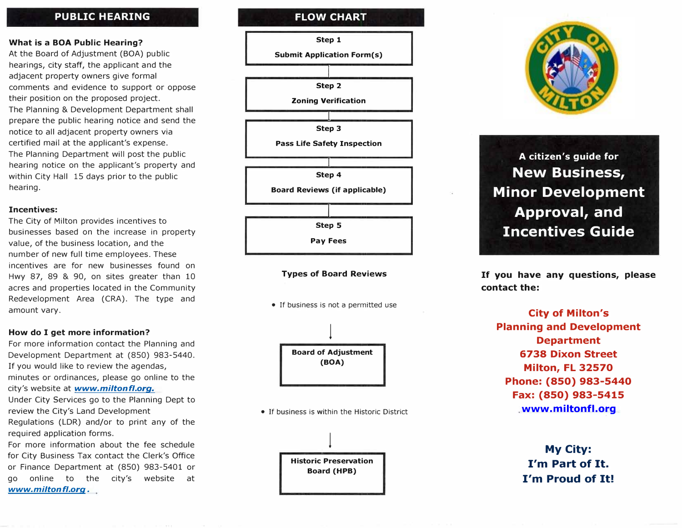# **P U BLIC HEARING**

## **Wh a t is a BOA Pu b lic Hearing?**

A t the Board o f Adjustment (BOA) public hearings, city staff, the applicant an d the adjacent property owners give fo r mal comments and evidence to support or oppose t h e ir position on the proposed project. The Planning & D evelopment Department s hall prepare the public h earing notice and send the notice to all adjacent property owners via<br>certified mail at the applicant's expense.<br>The Planning Department will post the public<br>hearing notice on the applicant's property and within City Hall 15 days prior to the public h e a r ing.

## **I n centi ves:**

The City o f Milton provides incentives to b usinesses based on the increase in property value, of t he business location, and the number of new full time employees. T incentives are for new businesses found on Hwy 87, 89 & 90, on sites gr eater than 10 acres and properties located in the Community Red evelopment Area (CRA). T h e type and amount vary.

## **How do I get m ore information?**

For m ore information contact the Planning and Development Department at (850 ) 983-5440. If you would like to review the agendas, m inutes or ordinances, please g o online to the city's web sit e at *www.miltonfl.org.* Under City Services go to the Planning Dept to review t he City's L and Development

Regulations (LDR) and/or to print any of the required application forms.

For more information ab out the fee schedule for City Business Tax contact the Clerk's Office o r Fin ance D epartment at (850) 983-5401 o r go online t o t h e city's website at *www.miltonfl . org .*

# **FLOW CHART**



## **Types of Board Reviews**

• If business is not a permitted use



• If business is within the Historic District





# **A citizen's g u ide for New Business, Minor Development Approval, and Incentives Guide**

**If you have any questions, please contact the:** 

**City of Milton's P lanning and Development Department 6738 Dixon S treet Milton, FL 32570 Phone: { 850) 983-5440 Fax: {850) 983-5415 www.[miltonfl](www.miltonfl.org) .org**

> **My City: I'm Part of It. I'm Proud of It!**